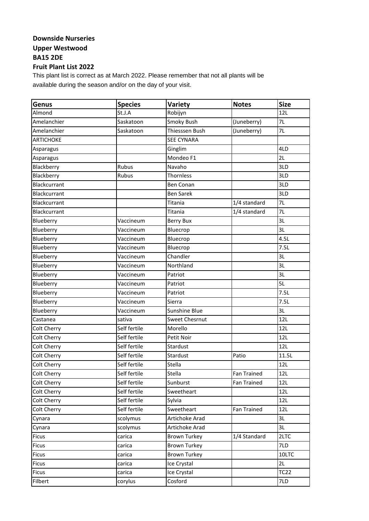## **Downside Nurseries Upper Westwood BA15 2DE**

## **Fruit Plant List 2022**

This plant list is correct as at March 2022. Please remember that not all plants will be available during the season and/or on the day of your visit.

| Genus            | <b>Species</b> | Variety               | <b>Notes</b> | <b>Size</b> |
|------------------|----------------|-----------------------|--------------|-------------|
| Almond           | St.J.A         | Robijyn               |              | 12L         |
| Amelanchier      | Saskatoon      | Smoky Bush            | (Juneberry)  | 7L          |
| Amelanchier      | Saskatoon      | Thiesssen Bush        | (Juneberry)  | 7L          |
| <b>ARTICHOKE</b> |                | <b>SEE CYNARA</b>     |              |             |
| Asparagus        |                | Ginglim               |              | 4LD         |
| Asparagus        |                | Mondeo F1             |              | 2L          |
| Blackberry       | Rubus          | Navaho                |              | 3LD         |
| Blackberry       | Rubus          | Thornless             |              | 3LD         |
| Blackcurrant     |                | <b>Ben Conan</b>      |              | 3LD         |
| Blackcurrant     |                | <b>Ben Sarek</b>      |              | 3LD         |
| Blackcurrant     |                | Titania               | 1/4 standard | 7L          |
| Blackcurrant     |                | Titania               | 1/4 standard | 7L          |
| Blueberry        | Vaccineum      | <b>Berry Bux</b>      |              | 3L          |
| Blueberry        | Vaccineum      | Bluecrop              |              | 3L          |
| Blueberry        | Vaccineum      | Bluecrop              |              | 4.5L        |
| Blueberry        | Vaccineum      | Bluecrop              |              | 7.5L        |
| Blueberry        | Vaccineum      | Chandler              |              | 3L          |
| Blueberry        | Vaccineum      | Northland             |              | 3L          |
| Blueberry        | Vaccineum      | Patriot               |              | 3L          |
| Blueberry        | Vaccineum      | Patriot               |              | 5L          |
| Blueberry        | Vaccineum      | Patriot               |              | 7.5L        |
| Blueberry        | Vaccineum      | Sierra                |              | 7.5L        |
| Blueberry        | Vaccineum      | Sunshine Blue         |              | 3L          |
| Castanea         | sativa         | <b>Sweet Chesrnut</b> |              | 12L         |
| Colt Cherry      | Self fertile   | Morello               |              | 12L         |
| Colt Cherry      | Self fertile   | Petit Noir            |              | 12L         |
| Colt Cherry      | Self fertile   | Stardust              |              | 12L         |
| Colt Cherry      | Self fertile   | Stardust              | Patio        | 11.5L       |
| Colt Cherry      | Self fertile   | Stella                |              | 12L         |
| Colt Cherry      | Self fertile   | Stella                | Fan Trained  | 12L         |
| Colt Cherry      | Self fertile   | Sunburst              | Fan Trained  | 12L         |
| Colt Cherry      | Self fertile   | Sweetheart            |              | 12L         |
| Colt Cherry      | Self fertile   | Sylvia                |              | 12L         |
| Colt Cherry      | Self fertile   | Sweetheart            | Fan Trained  | 12L         |
| Cynara           | scolymus       | Artichoke Arad        |              | 3L          |
| Cynara           | scolymus       | Artichoke Arad        |              | 3L          |
| <b>Ficus</b>     | carica         | <b>Brown Turkey</b>   | 1/4 Standard | 2LTC        |
| <b>Ficus</b>     | carica         | <b>Brown Turkey</b>   |              | 7LD         |
| <b>Ficus</b>     | carica         | <b>Brown Turkey</b>   |              | 10LTC       |
| Ficus            | carica         | Ice Crystal           |              | 2L          |
| Ficus            | carica         | Ice Crystal           |              | <b>TC22</b> |
| Filbert          | corylus        | Cosford               |              | 7LD         |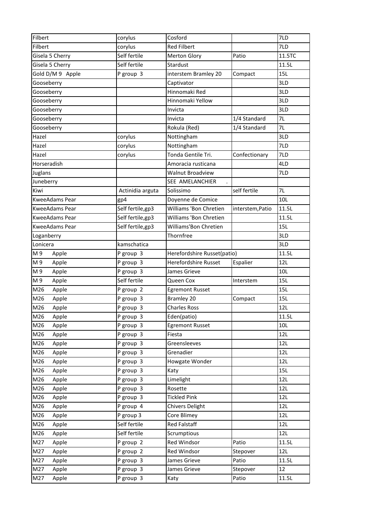| Filbert               | corylus           | Cosford                     |                  | 7LD    |
|-----------------------|-------------------|-----------------------------|------------------|--------|
| Filbert               | corylus           | <b>Red Filbert</b>          |                  | 7LD    |
| Gisela 5 Cherry       | Self fertile      | <b>Merton Glory</b>         | Patio            | 11.5TC |
| Gisela 5 Cherry       | Self fertile      | Stardust                    |                  | 11.5L  |
| Gold D/M 9 Apple      | P group 3         | interstem Bramley 20        | Compact          | 15L    |
| Gooseberry            |                   | Captivator                  |                  | 3LD    |
| Gooseberry            |                   | Hinnomaki Red               |                  | 3LD    |
| Gooseberry            |                   | Hinnomaki Yellow            |                  | 3LD    |
| Gooseberry            |                   | Invicta                     |                  | 3LD    |
| Gooseberry            |                   | Invicta                     | 1/4 Standard     | 7L     |
| Gooseberry            |                   | Rokula (Red)                | 1/4 Standard     | 7L     |
| Hazel                 | corylus           | Nottingham                  |                  | 3LD    |
| Hazel                 | corylus           | Nottingham                  |                  | 7LD    |
| Hazel                 | corylus           | Tonda Gentile Tri.          | Confectionary    | 7LD    |
| Horseradish           |                   | Amoracia rusticana          |                  | 4LD    |
| Juglans               |                   | <b>Walnut Broadview</b>     |                  | 7LD    |
| Juneberry             |                   | SEE AMELANCHIER             |                  |        |
| Kiwi                  | Actinidia arguta  | Solissimo                   | self fertile     | 7L     |
| <b>KweeAdams Pear</b> | gp4               | Doyenne de Comice           |                  | 10L    |
| KweeAdams Pear        | Self fertile, gp3 | Williams 'Bon Chretien      | interstem, Patio | 11.5L  |
| KweeAdams Pear        | Self fertile,gp3  | Williams 'Bon Chretien      |                  | 11.5L  |
| <b>KweeAdams Pear</b> | Self fertile,gp3  | Williams'Bon Chretien       |                  | 15L    |
| Loganberry            |                   | Thornfree                   |                  | 3LD    |
| Lonicera              | kamschatica       |                             |                  | 3LD    |
| M9<br>Apple           | P group 3         | Herefordshire Russet(patio) |                  | 11.5L  |
| M9<br>Apple           | P group 3         | <b>Herefordshire Russet</b> | Espalier         | 12L    |
| M 9<br>Apple          | P group 3         | James Grieve                |                  | 10L    |
| M9<br>Apple           | Self fertile      | Queen Cox                   | Interstem        | 15L    |
| M26<br>Apple          | P group 2         | <b>Egremont Russet</b>      |                  | 15L    |
| M26<br>Apple          | P group 3         | <b>Bramley 20</b>           | Compact          | 15L    |
| M26<br>Apple          | P group 3         | <b>Charles Ross</b>         |                  | 12L    |
| M26<br>Apple          | P group 3         | Eden(patio)                 |                  | 11.5L  |
| M26<br>Apple          | P group 3         | <b>Egremont Russet</b>      |                  | 10L    |
| M26<br>Apple          | P group 3         | Fiesta                      |                  | 12L    |
| M26<br>Apple          | P group 3         | Greensleeves                |                  | 12L    |
| M26<br>Apple          | P group 3         | Grenadier                   |                  | 12L    |
| M26<br>Apple          | P group 3         | Howgate Wonder              |                  | 12L    |
| M26<br>Apple          | P group 3         | Katy                        |                  | 15L    |
| M26<br>Apple          | P group 3         | Limelight                   |                  | 12L    |
| M26<br>Apple          | P group 3         | Rosette                     |                  | 12L    |
| M26<br>Apple          | P group 3         | <b>Tickled Pink</b>         |                  | 12L    |
| M26<br>Apple          | P group 4         | <b>Chivers Delight</b>      |                  | 12L    |
| M26<br>Apple          | P group 3         | Core Blimey                 |                  | 12L    |
| M26<br>Apple          | Self fertile      | <b>Red Falstaff</b>         |                  | 12L    |
| M26<br>Apple          | Self fertile      | Scrumptious                 |                  | 12L    |
| M27<br>Apple          | P group 2         | Red Windsor                 | Patio            | 11.5L  |
| M27<br>Apple          | P group 2         | Red Windsor                 | Stepover         | 12L    |
| M27<br>Apple          | P group 3         | James Grieve                | Patio            | 11.5L  |
| M27<br>Apple          | P group 3         | James Grieve                | Stepover         | 12     |
| M27                   | P group 3         | Katy                        | Patio            | 11.5L  |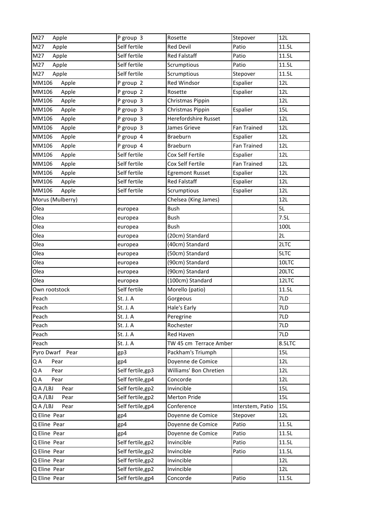| M27<br>Apple        | P group 3         | Rosette                | Stepover           | 12L        |
|---------------------|-------------------|------------------------|--------------------|------------|
| M27<br>Apple        | Self fertile      | <b>Red Devil</b>       | Patio              | 11.5L      |
| M27<br>Apple        | Self fertile      | <b>Red Falstaff</b>    | Patio              | 11.5L      |
| M27<br>Apple        | Self fertile      | Scrumptious            | Patio              | 11.5L      |
| M27<br>Apple        | Self fertile      | Scrumptious            | Stepover           | 11.5L      |
| MM106<br>Apple      | P group 2         | Red Windsor            | Espalier           | 12L        |
| MM106<br>Apple      | P group 2         | Rosette                | Espalier           | 12L        |
| MM106<br>Apple      | P group 3         | Christmas Pippin       |                    | 12L        |
| MM106<br>Apple      | P group 3         | Christmas Pippin       | Espalier           | 15L        |
| MM106<br>Apple      | P group 3         | Herefordshire Russet   |                    | 12L        |
| MM106<br>Apple      | P group 3         | James Grieve           | Fan Trained        | 12L        |
| MM106<br>Apple      | P group 4         | Braeburn               | Espalier           | 12L        |
| MM106<br>Apple      | P group 4         | Braeburn               | <b>Fan Trained</b> | 12L        |
| MM106<br>Apple      | Self fertile      | Cox Self Fertile       | Espalier           | 12L        |
| MM106<br>Apple      | Self fertile      | Cox Self Fertile       | <b>Fan Trained</b> | 12L        |
| MM106<br>Apple      | Self fertile      | <b>Egremont Russet</b> | Espalier           | 12L        |
| MM106<br>Apple      | Self fertile      | <b>Red Falstaff</b>    | Espalier           | 12L        |
| MM106<br>Apple      | Self fertile      | Scrumptious            | Espalier           | 12L        |
| Morus (Mulberry)    |                   | Chelsea (King James)   |                    | 12L        |
| Olea                | europea           | Bush                   |                    | 5L         |
| Olea                | europea           | <b>Bush</b>            |                    | 7.5L       |
| Olea                | europea           | <b>Bush</b>            |                    | 100L       |
| Olea                | europea           | (20cm) Standard        |                    | 2L         |
| Olea                | europea           | (40cm) Standard        |                    | 2LTC       |
| Olea                | europea           | (50cm) Standard        |                    | 5LTC       |
| Olea                | europea           | (90cm) Standard        |                    | 10LTC      |
| Olea                | europea           | (90cm) Standard        |                    | 20LTC      |
| Olea                | europea           | (100cm) Standard       |                    | 12LTC      |
| Own rootstock       | Self fertile      | Morello (patio)        |                    | 11.5L      |
| Peach               | St. J. A          | Gorgeous               |                    | 7LD        |
| Peach               | St. J. A          | Hale's Early           |                    | 7LD        |
| Peach               | St. J. A          | Peregrine              |                    | 7LD        |
| Peach               | St. J. A          | Rochester              |                    | 7LD        |
| Peach               | St. J. A          | Red Haven              |                    | 7LD        |
| Peach               | St. J. A          | TW 45 cm Terrace Amber |                    | 8.5LTC     |
| Pyro Dwarf Pear     | gp3               | Packham's Triumph      |                    | 15L        |
| QA<br>Pear          | gp4               | Doyenne de Comice      |                    | 12L        |
| QA<br>Pear          | Self fertile, gp3 | Williams' Bon Chretien |                    | 12L        |
| QA<br>Pear          | Self fertile,gp4  | Concorde               |                    | 12L        |
| Q A /LBJ<br>Pear    | Self fertile, gp2 | Invincible             |                    | 15L        |
| Q A /LBJ<br>Pear    | Self fertile,gp2  | Merton Pride           |                    | <b>15L</b> |
| Q A / L B J<br>Pear | Self fertile,gp4  | Conference             | Interstem, Patio   | 15L        |
| Q Eline Pear        | gp4               | Doyenne de Comice      | Stepover           | 12L        |
| Q Eline Pear        | gp4               | Doyenne de Comice      | Patio              | 11.5L      |
| Q Eline Pear        | gp4               | Doyenne de Comice      | Patio              | 11.5L      |
| Q Eline Pear        | Self fertile,gp2  | Invincible             | Patio              | 11.5L      |
| Q Eline Pear        | Self fertile,gp2  | Invincible             | Patio              | 11.5L      |
| Q Eline Pear        | Self fertile,gp2  | Invincible             |                    | 12L        |
| Q Eline Pear        | Self fertile,gp2  | Invincible             |                    | 12L        |
| Q Eline Pear        | Self fertile,gp4  | Concorde               | Patio              | 11.5L      |
|                     |                   |                        |                    |            |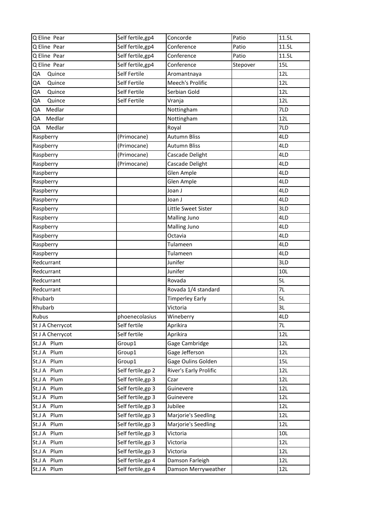| Q Eline Pear     | Self fertile,gp4   | Concorde               | Patio    | 11.5L      |
|------------------|--------------------|------------------------|----------|------------|
| Q Eline Pear     | Self fertile,gp4   | Conference             | Patio    | 11.5L      |
| Q Eline Pear     | Self fertile, gp4  | Conference             | Patio    | 11.5L      |
| Q Eline Pear     | Self fertile,gp4   | Conference             | Stepover | 15L        |
| QA<br>Quince     | Self Fertile       | Aromantnaya            |          | 12L        |
| Quince<br>QA     | Self Fertile       | Meech's Prolific       |          | 12L        |
| QA<br>Quince     | Self Fertile       | Serbian Gold           |          | 12L        |
| QA<br>Quince     | Self Fertile       | Vranja                 |          | 12L        |
| Medlar<br>QA     |                    | Nottingham             |          | 7LD        |
| Medlar<br>QA     |                    | Nottingham             |          | 12L        |
| Medlar<br>QA     |                    | Royal                  |          | 7LD        |
| Raspberry        | (Primocane)        | <b>Autumn Bliss</b>    |          | 4LD        |
| Raspberry        | (Primocane)        | <b>Autumn Bliss</b>    |          | 4LD        |
| Raspberry        | (Primocane)        | Cascade Delight        |          | 4LD        |
| Raspberry        | (Primocane)        | Cascade Delight        |          | 4LD        |
| Raspberry        |                    | Glen Ample             |          | 4LD        |
| Raspberry        |                    | Glen Ample             |          | 4LD        |
| Raspberry        |                    | Joan J                 |          | 4LD        |
| Raspberry        |                    | Joan J                 |          | 4LD        |
| Raspberry        |                    | Little Sweet Sister    |          | 3LD        |
| Raspberry        |                    | <b>Malling Juno</b>    |          | 4LD        |
| Raspberry        |                    | Malling Juno           |          | 4LD        |
| Raspberry        |                    | Octavia                |          | 4LD        |
| Raspberry        |                    | Tulameen               |          | 4LD        |
| Raspberry        |                    | Tulameen               |          | 4LD        |
| Redcurrant       |                    | Junifer                |          | 3LD        |
| Redcurrant       |                    | Junifer                |          | 10L        |
| Redcurrant       |                    | Rovada                 |          | 5L         |
| Redcurrant       |                    | Rovada 1/4 standard    |          | 7L         |
| Rhubarb          |                    | <b>Timperley Early</b> |          | 5L         |
| Rhubarb          |                    | Victoria               |          | 3L         |
| Rubus            | phoenecolasius     | Wineberry              |          | 4LD        |
| St J A Cherrycot | Self fertile       | Aprikira               |          | 7L         |
| St J A Cherrycot | Self fertile       | Aprikira               |          | 12L        |
| St.J A Plum      | Group1             | Gage Cambridge         |          | 12L        |
| St.J A Plum      | Group1             | Gage Jefferson         |          | 12L        |
| St.J A Plum      | Group1             | Gage Oulins Golden     |          | <b>15L</b> |
| St.J A Plum      | Self fertile, gp 2 | River's Early Prolific |          | 12L        |
| St.J A Plum      | Self fertile, gp 3 | Czar                   |          | 12L        |
| St.J A Plum      | Self fertile, gp 3 | Guinevere              |          | 12L        |
| St.J A Plum      | Self fertile, gp 3 | Guinevere              |          | 12L        |
| St.J A Plum      | Self fertile, gp 3 | Jubilee                |          | 12L        |
| St.J A Plum      | Self fertile, gp 3 | Marjorie's Seedling    |          | 12L        |
| St.J A Plum      | Self fertile, gp 3 | Marjorie's Seedling    |          | 12L        |
| St.J A Plum      | Self fertile, gp 3 | Victoria               |          | 10L        |
| St.J A Plum      | Self fertile, gp 3 | Victoria               |          | 12L        |
| St.J A Plum      | Self fertile, gp 3 | Victoria               |          | 12L        |
| St.J A Plum      | Self fertile, gp 4 | Damson Farleigh        |          | 12L        |
| St.J A Plum      | Self fertile, gp 4 | Damson Merryweather    |          | 12L        |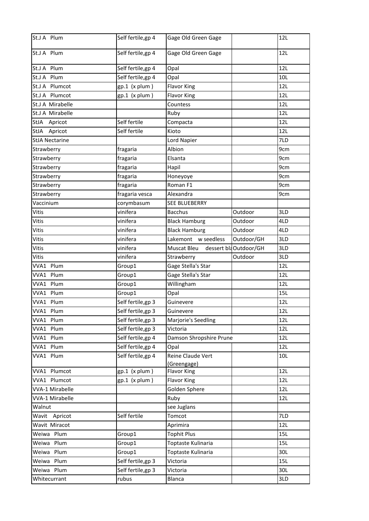| St.J A Plum            | Self fertile, gp 4 | Gage Old Green Gage     |                       | 12L |
|------------------------|--------------------|-------------------------|-----------------------|-----|
| St.J A Plum            | Self fertile, gp 4 | Gage Old Green Gage     |                       | 12L |
| St.J A Plum            | Self fertile,gp 4  | Opal                    |                       | 12L |
| St.J A Plum            | Self fertile, gp 4 | Opal                    |                       | 10L |
| St.J A Plumcot         | $gp.1$ (x plum)    | <b>Flavor King</b>      |                       | 12L |
| St.J A Plumcot         | $gp.1$ (x plum)    | <b>Flavor King</b>      |                       | 12L |
| St.J A Mirabelle       |                    | Countess                |                       | 12L |
| St.J A Mirabelle       |                    | Ruby                    |                       | 12L |
| StJA Apricot           | Self fertile       | Compacta                |                       | 12L |
| <b>StJA</b><br>Apricot | Self fertile       | Kioto                   |                       | 12L |
| <b>StJA Nectarine</b>  |                    | Lord Napier             |                       | 7LD |
| Strawberry             | fragaria           | Albion                  |                       | 9cm |
| Strawberry             | fragaria           | Elsanta                 |                       | 9cm |
| Strawberry             | fragaria           | Hapil                   |                       | 9cm |
| Strawberry             | fragaria           | Honeyoye                |                       | 9cm |
| Strawberry             | fragaria           | Roman F1                |                       | 9cm |
| Strawberry             | fragaria vesca     | Alexandra               |                       | 9cm |
| Vaccinium              | corymbasum         | <b>SEE BLUEBERRY</b>    |                       |     |
| Vitis                  | vinifera           | <b>Bacchus</b>          | Outdoor               | 3LD |
| Vitis                  | vinifera           | <b>Black Hamburg</b>    | Outdoor               | 4LD |
| Vitis                  | vinifera           | <b>Black Hamburg</b>    | Outdoor               | 4LD |
| Vitis                  | vinifera           | Lakemont w seedless     | Outdoor/GH            | 3LD |
| Vitis                  | vinifera           | Muscat Bleu             | dessert blaOutdoor/GH | 3LD |
| Vitis                  | vinifera           | Strawberry              | Outdoor               | 3LD |
| VVA1 Plum              | Group1             | Gage Stella's Star      |                       | 12L |
| VVA1 Plum              | Group1             | Gage Stella's Star      |                       | 12L |
| VVA1 Plum              | Group1             | Willingham              |                       | 12L |
| VVA1 Plum              | Group1             | Opal                    |                       | 15L |
| VVA1 Plum              | Self fertile, gp 3 | Guinevere               |                       | 12L |
| VVA1 Plum              | Self fertile,gp 3  | Guinevere               |                       | 12L |
| VVA1 Plum              | Self fertile, gp 3 | Marjorie's Seedling     |                       | 12L |
| VVA1 Plum              | Self fertile, gp 3 | Victoria                |                       | 12L |
| VVA1 Plum              | Self fertile, gp 4 | Damson Shropshire Prune |                       | 12L |
| VVA1 Plum              | Self fertile, gp 4 | Opal                    |                       | 12L |
| VVA1 Plum              | Self fertile, gp 4 | Reine Claude Vert       |                       | 10L |
|                        |                    | (Greengage)             |                       |     |
| VVA1 Plumcot           | $gp.1$ (x plum)    | <b>Flavor King</b>      |                       | 12L |
| VVA1 Plumcot           | $gp.1$ (x plum)    | <b>Flavor King</b>      |                       | 12L |
| <b>VVA-1 Mirabelle</b> |                    | Golden Sphere           |                       | 12L |
| <b>VVA-1 Mirabelle</b> |                    | Ruby                    |                       | 12L |
| Walnut                 |                    | see Juglans             |                       |     |
| Wavit Apricot          | Self fertile       | Tomcot                  |                       | 7LD |
| Wavit Miracot          |                    | Aprimira                |                       | 12L |
| Weiwa Plum             | Group1             | <b>Tophit Plus</b>      |                       | 15L |
| Weiwa Plum             | Group1             | Toptaste Kulinaria      |                       | 15L |
| Weiwa Plum             | Group1             | Toptaste Kulinaria      |                       | 30L |
| Weiwa Plum             | Self fertile, gp 3 | Victoria                |                       | 15L |
| Weiwa Plum             | Self fertile, gp 3 | Victoria                |                       | 30L |
| Whitecurrant           | rubus              | Blanca                  |                       | 3LD |
|                        |                    |                         |                       |     |